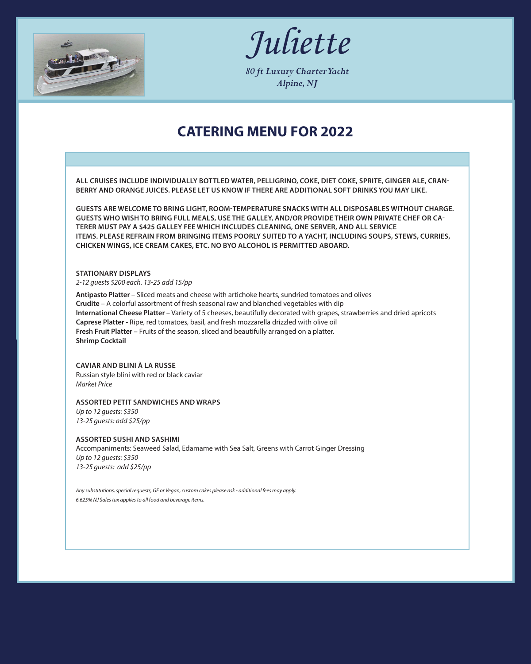

*Juliette*

*80 ft Luxury Charter Yacht Alpine, NJ*

# **CATERING MENU FOR 2022**

**ALL CRUISES INCLUDE INDIVIDUALLY BOTTLED WATER, PELLIGRINO, COKE, DIET COKE, SPRITE, GINGER ALE, CRAN-BERRY AND ORANGE JUICES. PLEASE LET US KNOW IF THERE ARE ADDITIONAL SOFT DRINKS YOU MAY LIKE.**

**GUESTS ARE WELCOME TO BRING LIGHT, ROOM-TEMPERATURE SNACKS WITH ALL DISPOSABLES WITHOUT CHARGE. GUESTS WHO WISH TO BRING FULL MEALS, USE THE GALLEY, AND/OR PROVIDE THEIR OWN PRIVATE CHEF OR CA-TERER MUST PAY A \$425 GALLEY FEE WHICH INCLUDES CLEANING, ONE SERVER, AND ALL SERVICE ITEMS. PLEASE REFRAIN FROM BRINGING ITEMS POORLY SUITED TO A YACHT, INCLUDING SOUPS, STEWS, CURRIES, CHICKEN WINGS, ICE CREAM CAKES, ETC. NO BYO ALCOHOL IS PERMITTED ABOARD.**

### **STATIONARY DISPLAYS**

*2-12 guests \$200 each. 13-25 add 15/pp*

**Antipasto Platter** – Sliced meats and cheese with artichoke hearts, sundried tomatoes and olives **Crudite** – A colorful assortment of fresh seasonal raw and blanched vegetables with dip **International Cheese Platter** – Variety of 5 cheeses, beautifully decorated with grapes, strawberries and dried apricots **Caprese Platter** - Ripe, red tomatoes, basil, and fresh mozzarella drizzled with olive oil **Fresh Fruit Platter** – Fruits of the season, sliced and beautifully arranged on a platter. **Shrimp Cocktail**

### **CAVIAR AND BLINI À LA RUSSE**

Russian style blini with red or black caviar *Market Price*

### **ASSORTED PETIT SANDWICHES AND WRAPS**

*Up to 12 guests: \$350 13-25 guests: add \$25/pp*

#### **ASSORTED SUSHI AND SASHIMI**

Accompaniments: Seaweed Salad, Edamame with Sea Salt, Greens with Carrot Ginger Dressing *Up to 12 guests: \$350 13-25 guests: add \$25/pp*

*Any substitutions, special requests, GF or Vegan, custom cakes please ask - additional fees may apply. 6.625% NJ Sales tax applies to all food and beverage items.*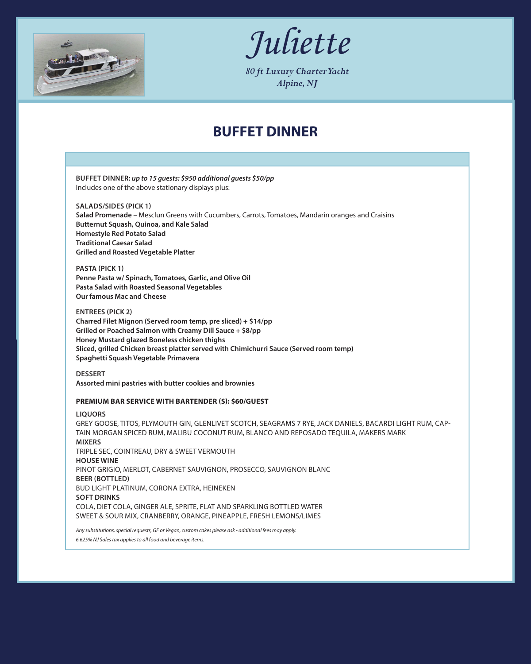

*Juliette*

*80 ft Luxury Charter Yacht Alpine, NJ*

## **BUFFET DINNER**